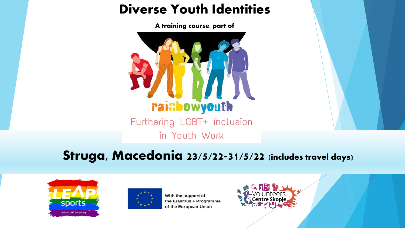#### Diverse Youth Identities

A training course, part of



Struga, Macedonia 23/5/22-31/5/22 (includes travel days)





With the support of the Erasmus + Programme of the European Union

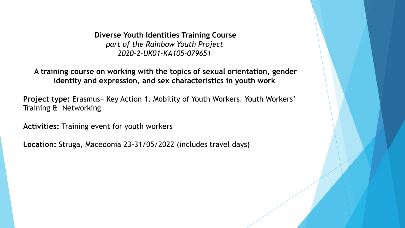**Diverse Youth Identities Training Course** *part of the Rainbow Youth Project 2020-2-UK01-KA105-079651*

**A training course on working with the topics of sexual orientation, gender identity and expression, and sex characteristics in youth work**

**Project type:** Erasmus+ Key Action 1. Mobility of Youth Workers. Youth Workers' Training & Networking

**Activities:** Training event for youth workers

**Location:** Struga, Macedonia 23-31/05/2022 (includes travel days)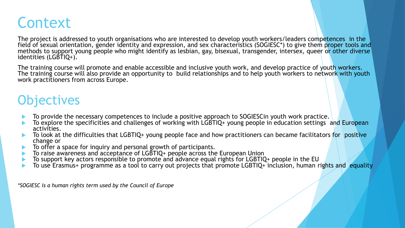# **Context**

The project is addressed to youth organisations who are interested to develop youth workers/leaders competences in the field of sexual orientation, gender identity and expression, and sex characteristics (SOGIESC\*) to give them proper tools and methods to support young people who might identify as lesbian, gay, bisexual, transgender, intersex, queer or other diverse identities (LGBTIQ+).

The training course will promote and enable accessible and inclusive youth work, and develop practice of youth workers. The training course will also provide an opportunity to build relationships and to help youth workers to network with youth work practitioners from across Europe.

#### **Objectives**

- To provide the necessary competences to include a positive approach to SOGIESCin youth work practice.
- To explore the specificities and challenges of working with LGBTIQ+ young people in education settings and European activities.
- To look at the difficulties that LGBTIQ+ young people face and how practitioners can became facilitators for positive change or
- To offer a space for inquiry and personal growth of participants.
- To raise awareness and acceptance of LGBTIQ+ people across the European Union
- To support key actors responsible to promote and advance equal rights for LGBTIQ+ people in the EU
- To use Erasmus+ programme as a tool to carry out projects that promote LGBTIQ+ inclusion, human rights and equality

*\*SOGIESC is a human rights term used by the Council of Europe*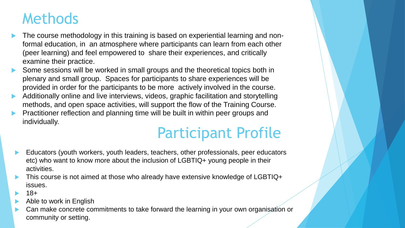## Methods

- The course methodology in this training is based on experiential learning and nonformal education, in an atmosphere where participants can learn from each other (peer learning) and feel empowered to share their experiences, and critically examine their practice.
- Some sessions will be worked in small groups and the theoretical topics both in plenary and small group. Spaces for participants to share experiences will be provided in order for the participants to be more actively involved in the course.
- Additionally online and live interviews, videos, graphic facilitation and storytelling methods, and open space activities, will support the flow of the Training Course.
- Practitioner reflection and planning time will be built in within peer groups and individually.

# Participant Profile

- Educators (youth workers, youth leaders, teachers, other professionals, peer educators etc) who want to know more about the inclusion of LGBTIQ+ young people in their activities.
- This course is not aimed at those who already have extensive knowledge of LGBTIQ+ issues.
- 18+
- Able to work in English
- Can make concrete commitments to take forward the learning in your own organisation or community or setting.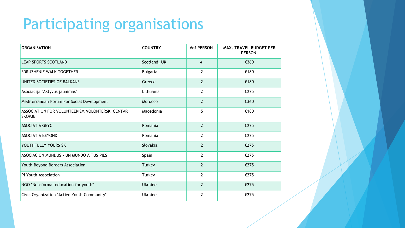# Participating organisations

| <b>ORGANISATION</b>                                              | <b>COUNTRY</b>  | #of PERSON     | MAX. TRAVEL BUDGET PER<br><b>PERSON</b> |
|------------------------------------------------------------------|-----------------|----------------|-----------------------------------------|
| <b>LEAP SPORTS SCOTLAND</b>                                      | Scotland, UK    | $\overline{4}$ | €360                                    |
| SDRUZHENIE WALK TOGETHER                                         | <b>Bulgaria</b> | $\overline{2}$ | €180                                    |
| UNITED SOCIETIES OF BALKANS                                      | Greece          | $\overline{2}$ | €180                                    |
| Asociacija "Aktyvus jaunimas"                                    | Lithuania       | $\overline{2}$ | €275                                    |
| Mediterranean Forum For Social Development                       | Morocco         | $\overline{2}$ | €360                                    |
| ASSOCIATION FOR VOLUNTEERISM VOLONTERSKI CENTAR<br><b>SKOPJE</b> | Macedonia       | 5              | €180                                    |
| <b>ASOCIATIA GEYC</b>                                            | Romania         | $\overline{2}$ | €275                                    |
| <b>ASOCIATIA BEYOND</b>                                          | Romania         | $\mathbf{2}$   | €275                                    |
| YOUTHFULLY YOURS SK                                              | Slovakia        | $\overline{2}$ | €275                                    |
| ASOCIACION MUNDUS - UN MUNDO A TUS PIES                          | Spain           | $\overline{2}$ | €275                                    |
| Youth Beyond Borders Association                                 | Turkey          | $\overline{2}$ | €275                                    |
| Pi Youth Association                                             | Turkey          | $\overline{2}$ | €275                                    |
| NGO "Non-formal education for youth"                             | <b>Ukraine</b>  | $\overline{2}$ | €275                                    |
| Civic Organization "Active Youth Community"                      | <b>Ukraine</b>  | $\overline{2}$ | €275                                    |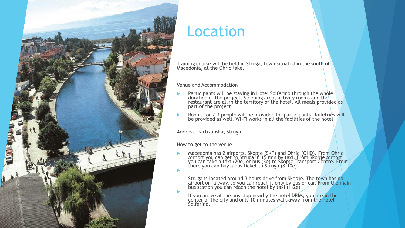

#### Location

Training course will be held in Struga, town situated in the south of Macedonia, at the Ohrid lake.

#### Venue and Accommodation

- **Participants will be staying in Hotel Solferino through the whole** duration of the project. Sleeping area, activity rooms and the restaurant are all in the territory of the hotel. All meals provided as part of the project.
- **EXECUTE:** Rooms for 2-3 people will be provided for participants. Toiletries will be provided as well. Wi-Fi works in all the facilities of the hotel

Address: Partizanska, Struga

How to get to the venue

 $\blacktriangleright$ 

**Macedonia has 2 airports, Skopje (SKP) and Ohrid (OHD). From Ohrid** Airport you can get to Struga in 15 min by taxi. From Skopje Airport you can take a taxi (20e) or bus (3e) to Skopje Transport Centre. From there you can buy a bus ticket to Struga (8-10e). ▶

Struga is located around 3 hours drive from Skopje. The town has no airport or railway, so you can reach it only by bus or car. From the main bus station you can reach the hotel by taxi (1-2e)

If you arrive at the bus stop nearby the hotel DRIM, you are in the center of the city and only 10 minutes walk away from the hotel Solferino.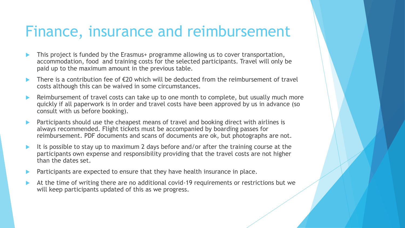### Finance, insurance and reimbursement

- This project is funded by the Erasmus+ programme allowing us to cover transportation, accommodation, food and training costs for the selected participants. Travel will only be paid up to the maximum amount in the previous table.
- There is a contribution fee of  $\epsilon$ 20 which will be deducted from the reimbursement of travel costs although this can be waived in some circumstances.
- Reimbursement of travel costs can take up to one month to complete, but usually much more quickly if all paperwork is in order and travel costs have been approved by us in advance (so consult with us before booking).
- Participants should use the cheapest means of travel and booking direct with airlines is always recommended. Flight tickets must be accompanied by boarding passes for reimbursement. PDF documents and scans of documents are ok, but photographs are not.
- It is possible to stay up to maximum 2 days before and/or after the training course at the participants own expense and responsibility providing that the travel costs are not higher than the dates set.
- Participants are expected to ensure that they have health insurance in place.
- At the time of writing there are no additional covid-19 requirements or restrictions but we will keep participants updated of this as we progress.